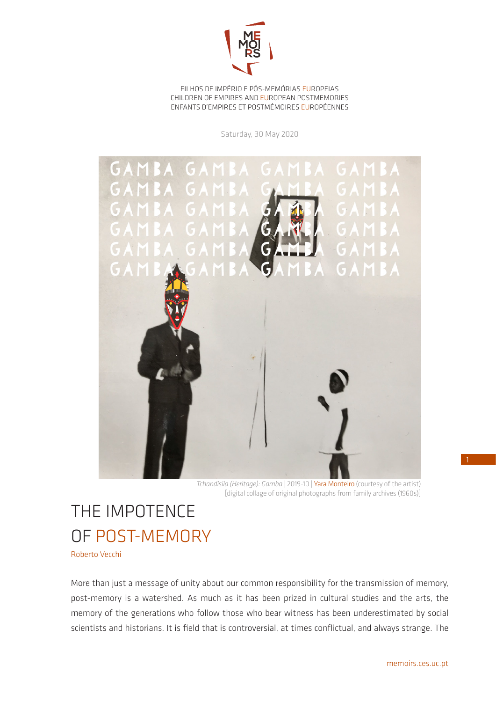

FILHOS DE IMPÉRIO E PÓS-MEMÓRIAS EUROPEIAS CHILDREN OF EMPIRES AND EUROPEAN POSTMEMORIES ENFANTS D'EMPIRES ET POSTMÉMOIRES EUROPÉENNES

Saturday, 30 May 2020



*Tchandisila (Heritage): Gamba* | 2019-10 | Yara Monteiro (courtesy of the artist) [digital collage of original photographs from family archives (1960s)]

## THE IMPOTENCE OF POST-MEMORY

Roberto Vecchi

More than just a message of unity about our common responsibility for the transmission of memory, post-memory is a watershed. As much as it has been prized in cultural studies and the arts, the memory of the generations who follow those who bear witness has been underestimated by social scientists and historians. It is field that is controversial, at times conflictual, and always strange. The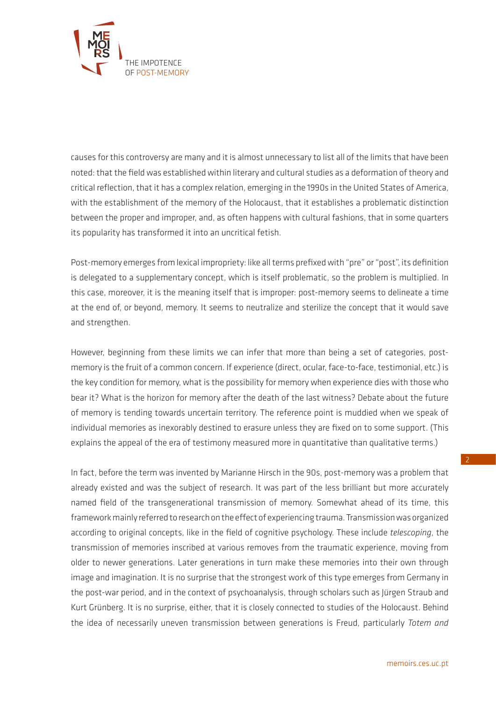

causes for this controversy are many and it is almost unnecessary to list all of the limits that have been noted: that the field was established within literary and cultural studies as a deformation of theory and critical reflection, that it has a complex relation, emerging in the 1990s in the United States of America, with the establishment of the memory of the Holocaust, that it establishes a problematic distinction between the proper and improper, and, as often happens with cultural fashions, that in some quarters its popularity has transformed it into an uncritical fetish.

Post-memory emerges from lexical impropriety: like all terms prefixed with "pre" or "post", its definition is delegated to a supplementary concept, which is itself problematic, so the problem is multiplied. In this case, moreover, it is the meaning itself that is improper: post-memory seems to delineate a time at the end of, or beyond, memory. It seems to neutralize and sterilize the concept that it would save and strengthen.

However, beginning from these limits we can infer that more than being a set of categories, postmemory is the fruit of a common concern. If experience (direct, ocular, face-to-face, testimonial, etc.) is the key condition for memory, what is the possibility for memory when experience dies with those who bear it? What is the horizon for memory after the death of the last witness? Debate about the future of memory is tending towards uncertain territory. The reference point is muddied when we speak of individual memories as inexorably destined to erasure unless they are fixed on to some support. (This explains the appeal of the era of testimony measured more in quantitative than qualitative terms.)

In fact, before the term was invented by Marianne Hirsch in the 90s, post-memory was a problem that already existed and was the subject of research. It was part of the less brilliant but more accurately named field of the transgenerational transmission of memory. Somewhat ahead of its time, this framework mainly referred to research on the effect of experiencing trauma. Transmission was organized according to original concepts, like in the field of cognitive psychology. These include *telescoping*, the transmission of memories inscribed at various removes from the traumatic experience, moving from older to newer generations. Later generations in turn make these memories into their own through image and imagination. It is no surprise that the strongest work of this type emerges from Germany in the post-war period, and in the context of psychoanalysis, through scholars such as Jürgen Straub and Kurt Grünberg. It is no surprise, either, that it is closely connected to studies of the Holocaust. Behind the idea of necessarily uneven transmission between generations is Freud, particularly *Totem and*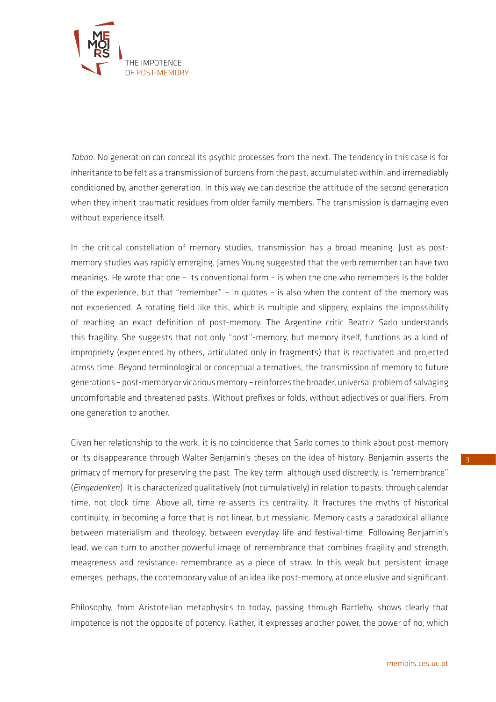

*Taboo*. No generation can conceal its psychic processes from the next. The tendency in this case is for inheritance to be felt as a transmission of burdens from the past, accumulated within, and irremediably conditioned by, another generation. In this way we can describe the attitude of the second generation when they inherit traumatic residues from older family members. The transmission is damaging even without experience itself.

In the critical constellation of memory studies, transmission has a broad meaning. Just as postmemory studies was rapidly emerging, James Young suggested that the verb remember can have two meanings. He wrote that one – its conventional form – is when the one who remembers is the holder of the experience, but that "remember" – in quotes – is also when the content of the memory was not experienced. A rotating field like this, which is multiple and slippery, explains the impossibility of reaching an exact definition of post-memory. The Argentine critic Beatriz Sarlo understands this fragility. She suggests that not only "post"-memory, but memory itself, functions as a kind of impropriety (experienced by others, articulated only in fragments) that is reactivated and projected across time. Beyond terminological or conceptual alternatives, the transmission of memory to future generations – post-memory or vicarious memory – reinforces the broader, universal problem of salvaging uncomfortable and threatened pasts. Without prefixes or folds, without adjectives or qualifiers. From one generation to another.

Given her relationship to the work, it is no coincidence that Sarlo comes to think about post-memory or its disappearance through Walter Benjamin's theses on the idea of history. Benjamin asserts the primacy of memory for preserving the past. The key term, although used discreetly, is "remembrance" (*Eingedenken*). It is characterized qualitatively (not cumulatively) in relation to pasts: through calendar time, not clock time. Above all, time re-asserts its centrality. It fractures the myths of historical continuity, in becoming a force that is not linear, but messianic. Memory casts a paradoxical alliance between materialism and theology, between everyday life and festival-time. Following Benjamin's lead, we can turn to another powerful image of remembrance that combines fragility and strength, meagreness and resistance: remembrance as a piece of straw. In this weak but persistent image emerges, perhaps, the contemporary value of an idea like post-memory, at once elusive and significant.

Philosophy, from Aristotelian metaphysics to today, passing through Bartleby, shows clearly that impotence is not the opposite of potency. Rather, it expresses another power, the power of no, which